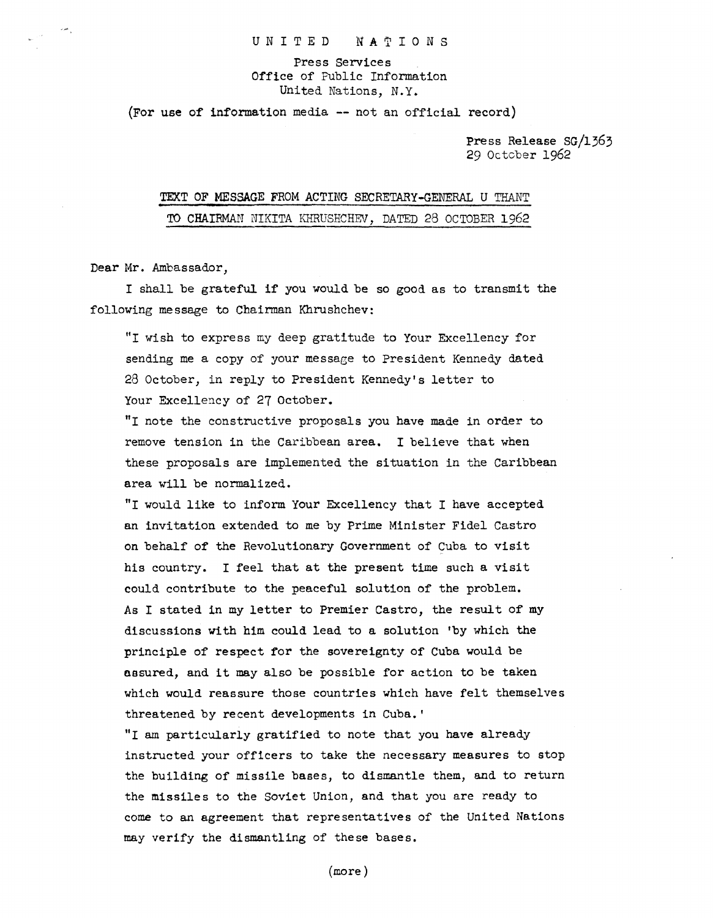UNITED NATIONS

Press Services Office of Public Information United Nations, N.Y.

(For use of information media -- not an official record)

Press Release SG/1363 29 Octcber 1962

## TEXT OF MESSAGE FROM ACTING SECRETARY-GENERAL U TRANT TO CHAIRMAN NIKITA KHRUSHCHEV, DATED 28 OCTOBER 1962

Dear Mr. Ambassador,

I shall be grateful if you would be so good as to transmit the following message to Chairman Khrushchev:

"I wish to express my deep gratitude to Your Excellency for sending me a copy of your message to President Kennedy dated 28 October, in reply to President Kennedy's letter to Your Excellency of 27 October.

"I note the constructive proposals you have made in order to remove tension in the caribbean area. I believe that when these proposals are implemented the situation in the Caribbean area will be normalized.

"I would like to inform Your Excellency that I have accepted an invitation extended to me by Prime Minister Fidel Castro on behalf of the Revolutionary Government of Cuba to visit his country. I feel that at the present time such a visit could contribute to the peaceful solution of the problem. As I stated in my letter to Premier Castro, the result of my discussions with him could lead to a solution 'by which the principle of respect for the sovereignty of Cuba would be assured, and it may also be possible for action to be taken which would reassure those countries which have felt themselves threatened by recent developments in Cuba.'

"I am particularly gratified to note that you have already instructed your officers to take the necessary measures to stop the building of missile bases, to dismantle them, and to return the missiles to the Soviet Union, and that you are ready to come to an agreement that representatives of the United Nations may verify the dismantling of these bases.